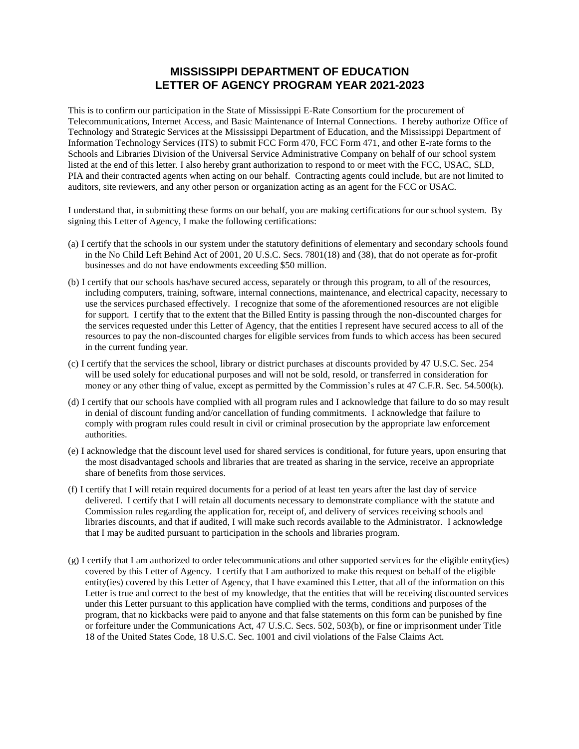## **MISSISSIPPI DEPARTMENT OF EDUCATION AGENCY FOR PROGRAM YEAR 2019-2021 LETTER OF AGENCY PROGRAM YEAR 2021-2023**

This is to confirm our participation in the State of Mississippi E-Rate Consortium for the procurement of Telecommunications, Internet Access, and Basic Maintenance of Internal Connections. I hereby authorize Office of Technology and Strategic Services at the Mississippi Department of Education, and the Mississippi Department of Information Technology Services (ITS) to submit FCC Form 470, FCC Form 471, and other E-rate forms to the Schools and Libraries Division of the Universal Service Administrative Company on behalf of our school system listed at the end of this letter. I also hereby grant authorization to respond to or meet with the FCC, USAC, SLD, PIA and their contracted agents when acting on our behalf. Contracting agents could include, but are not limited to auditors, site reviewers, and any other person or organization acting as an agent for the FCC or USAC.

I understand that, in submitting these forms on our behalf, you are making certifications for our school system. By signing this Letter of Agency, I make the following certifications:

- (a) I certify that the schools in our system under the statutory definitions of elementary and secondary schools found in the No Child Left Behind Act of 2001, 20 U.S.C. Secs. 7801(18) and (38), that do not operate as for-profit businesses and do not have endowments exceeding \$50 million.
- (b) I certify that our schools has/have secured access, separately or through this program, to all of the resources, including computers, training, software, internal connections, maintenance, and electrical capacity, necessary to use the services purchased effectively. I recognize that some of the aforementioned resources are not eligible for support. I certify that to the extent that the Billed Entity is passing through the non-discounted charges for the services requested under this Letter of Agency, that the entities I represent have secured access to all of the resources to pay the non-discounted charges for eligible services from funds to which access has been secured in the current funding year.
- (c) I certify that the services the school, library or district purchases at discounts provided by 47 U.S.C. Sec. 254 will be used solely for educational purposes and will not be sold, resold, or transferred in consideration for money or any other thing of value, except as permitted by the Commission's rules at 47 C.F.R. Sec. 54.500(k).
- (d) I certify that our schools have complied with all program rules and I acknowledge that failure to do so may result in denial of discount funding and/or cancellation of funding commitments. I acknowledge that failure to comply with program rules could result in civil or criminal prosecution by the appropriate law enforcement authorities.
- (e) I acknowledge that the discount level used for shared services is conditional, for future years, upon ensuring that the most disadvantaged schools and libraries that are treated as sharing in the service, receive an appropriate share of benefits from those services.
- (f) I certify that I will retain required documents for a period of at least ten years after the last day of service delivered. I certify that I will retain all documents necessary to demonstrate compliance with the statute and Commission rules regarding the application for, receipt of, and delivery of services receiving schools and libraries discounts, and that if audited, I will make such records available to the Administrator. I acknowledge that I may be audited pursuant to participation in the schools and libraries program.
- (g) I certify that I am authorized to order telecommunications and other supported services for the eligible entity(ies) covered by this Letter of Agency. I certify that I am authorized to make this request on behalf of the eligible entity(ies) covered by this Letter of Agency, that I have examined this Letter, that all of the information on this Letter is true and correct to the best of my knowledge, that the entities that will be receiving discounted services under this Letter pursuant to this application have complied with the terms, conditions and purposes of the program, that no kickbacks were paid to anyone and that false statements on this form can be punished by fine or forfeiture under the Communications Act, 47 U.S.C. Secs. 502, 503(b), or fine or imprisonment under Title 18 of the United States Code, 18 U.S.C. Sec. 1001 and civil violations of the False Claims Act.